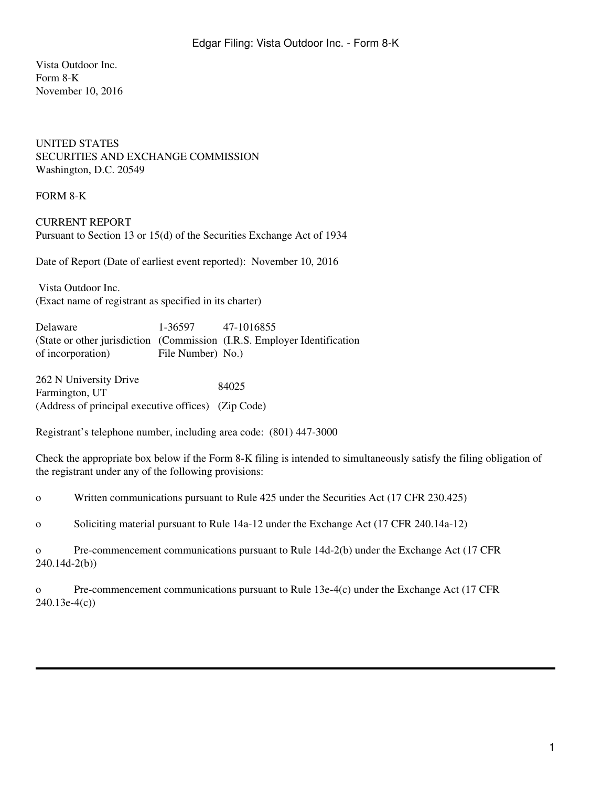Vista Outdoor Inc. Form 8-K November 10, 2016

## UNITED STATES SECURITIES AND EXCHANGE COMMISSION Washington, D.C. 20549

FORM 8-K

CURRENT REPORT Pursuant to Section 13 or 15(d) of the Securities Exchange Act of 1934

Date of Report (Date of earliest event reported): November 10, 2016

 Vista Outdoor Inc. (Exact name of registrant as specified in its charter)

| Delaware          | 1-36597 47-1016855 |                                                                          |
|-------------------|--------------------|--------------------------------------------------------------------------|
|                   |                    | (State or other jurisdiction (Commission (I.R.S. Employer Identification |
| of incorporation) | File Number) No.   |                                                                          |
|                   |                    |                                                                          |
|                   |                    |                                                                          |

262 N University Drive Earnington, UT 84025 (Address of principal executive offices) (Zip Code)

Registrant's telephone number, including area code: (801) 447-3000

Check the appropriate box below if the Form 8-K filing is intended to simultaneously satisfy the filing obligation of the registrant under any of the following provisions:

o Written communications pursuant to Rule 425 under the Securities Act (17 CFR 230.425)

o Soliciting material pursuant to Rule 14a-12 under the Exchange Act (17 CFR 240.14a-12)

o Pre-commencement communications pursuant to Rule 14d-2(b) under the Exchange Act (17 CFR 240.14d-2(b))

o Pre-commencement communications pursuant to Rule 13e-4(c) under the Exchange Act (17 CFR 240.13e-4(c))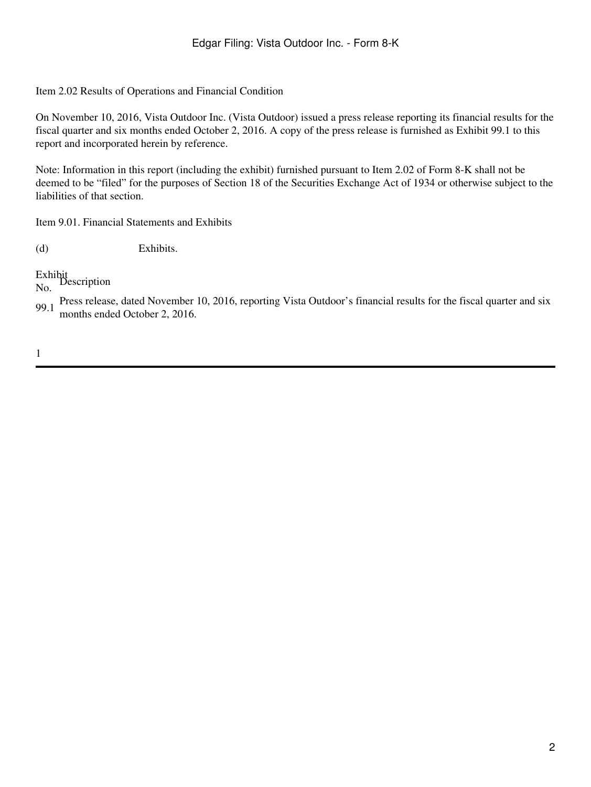Item 2.02 Results of Operations and Financial Condition

On November 10, 2016, Vista Outdoor Inc. (Vista Outdoor) issued a press release reporting its financial results for the fiscal quarter and six months ended October 2, 2016. A copy of the press release is furnished as Exhibit 99.1 to this report and incorporated herein by reference.

Note: Information in this report (including the exhibit) furnished pursuant to Item 2.02 of Form 8-K shall not be deemed to be "filed" for the purposes of Section 18 of the Securities Exchange Act of 1934 or otherwise subject to the liabilities of that section.

Item 9.01. Financial Statements and Exhibits

(d) Exhibits.

Exhibit No. Description

99.1 Press release, dated November 10, 2016, reporting Vista Outdoor's financial results for the fiscal quarter and six months ended October 2, 2016.

1